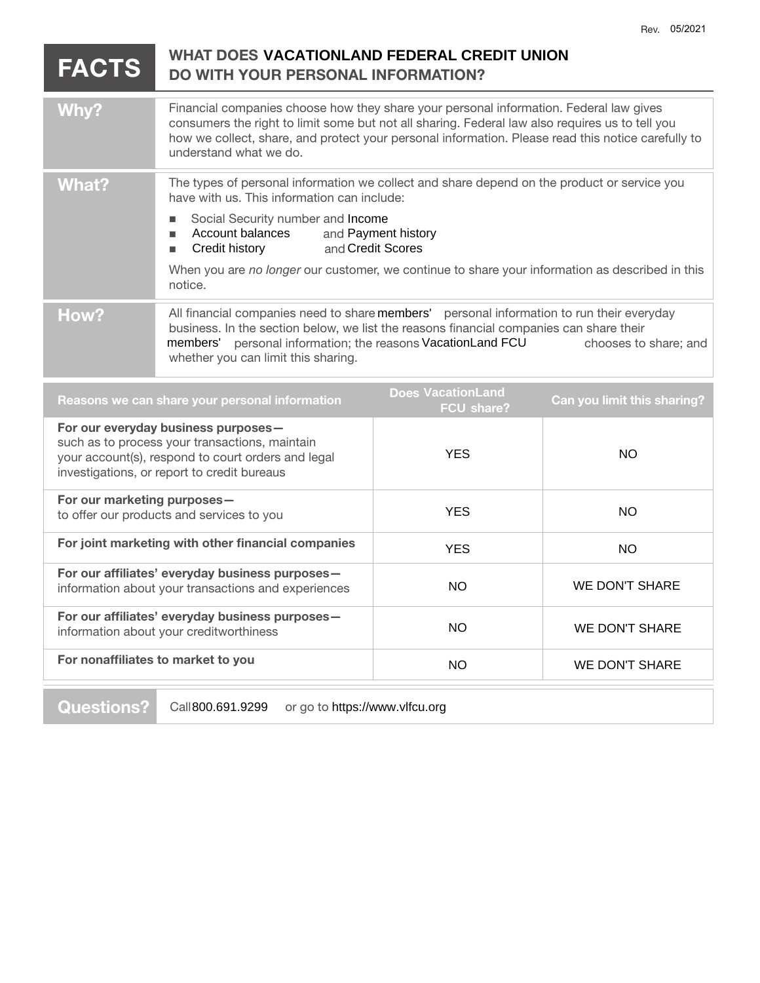|                                                                                                                                                                                            |                                                                                                                                                                                                                                                                                                                           |                                          | REV. VJIZUZ I         |
|--------------------------------------------------------------------------------------------------------------------------------------------------------------------------------------------|---------------------------------------------------------------------------------------------------------------------------------------------------------------------------------------------------------------------------------------------------------------------------------------------------------------------------|------------------------------------------|-----------------------|
| WHAT DOES VACATIONLAND FEDERAL CREDIT UNION<br><b>FACTS</b><br>DO WITH YOUR PERSONAL INFORMATION?                                                                                          |                                                                                                                                                                                                                                                                                                                           |                                          |                       |
| <b>Why?</b>                                                                                                                                                                                | Financial companies choose how they share your personal information. Federal law gives<br>consumers the right to limit some but not all sharing. Federal law also requires us to tell you<br>how we collect, share, and protect your personal information. Please read this notice carefully to<br>understand what we do. |                                          |                       |
| <b>What?</b>                                                                                                                                                                               | The types of personal information we collect and share depend on the product or service you<br>have with us. This information can include:                                                                                                                                                                                |                                          |                       |
|                                                                                                                                                                                            | Social Security number and Income<br>Account balances<br>п<br>Credit history<br>п                                                                                                                                                                                                                                         | and Payment history<br>and Credit Scores |                       |
|                                                                                                                                                                                            | When you are no longer our customer, we continue to share your information as described in this<br>notice.                                                                                                                                                                                                                |                                          |                       |
| How?                                                                                                                                                                                       | All financial companies need to share members' personal information to run their everyday<br>business. In the section below, we list the reasons financial companies can share their<br>members' personal information; the reasons VacationLand FCU<br>chooses to share; and<br>whether you can limit this sharing.       |                                          |                       |
| <b>Does VacationLand</b><br>Reasons we can share your personal information<br>Can you limit this sharing?<br><b>FCU share?</b>                                                             |                                                                                                                                                                                                                                                                                                                           |                                          |                       |
| For our everyday business purposes-<br>such as to process your transactions, maintain<br>your account(s), respond to court orders and legal<br>investigations, or report to credit bureaus |                                                                                                                                                                                                                                                                                                                           | <b>YES</b>                               | <b>NO</b>             |
| For our marketing purposes-<br>to offer our products and services to you                                                                                                                   |                                                                                                                                                                                                                                                                                                                           | <b>YES</b>                               | <b>NO</b>             |
| For joint marketing with other financial companies                                                                                                                                         |                                                                                                                                                                                                                                                                                                                           | <b>YES</b>                               | NO.                   |
| For our affiliates' everyday business purposes-<br>information about your transactions and experiences                                                                                     |                                                                                                                                                                                                                                                                                                                           | <b>NO</b>                                | <b>WE DON'T SHARE</b> |
| For our affiliates' everyday business purposes-<br>information about your creditworthiness                                                                                                 |                                                                                                                                                                                                                                                                                                                           | <b>NO</b>                                | WE DON'T SHARE        |
| For nonaffiliates to market to you                                                                                                                                                         |                                                                                                                                                                                                                                                                                                                           | <b>NO</b>                                | <b>WE DON'T SHARE</b> |

**Questions?** Call 800.691.9299 or go to https://www.vlfcu.org